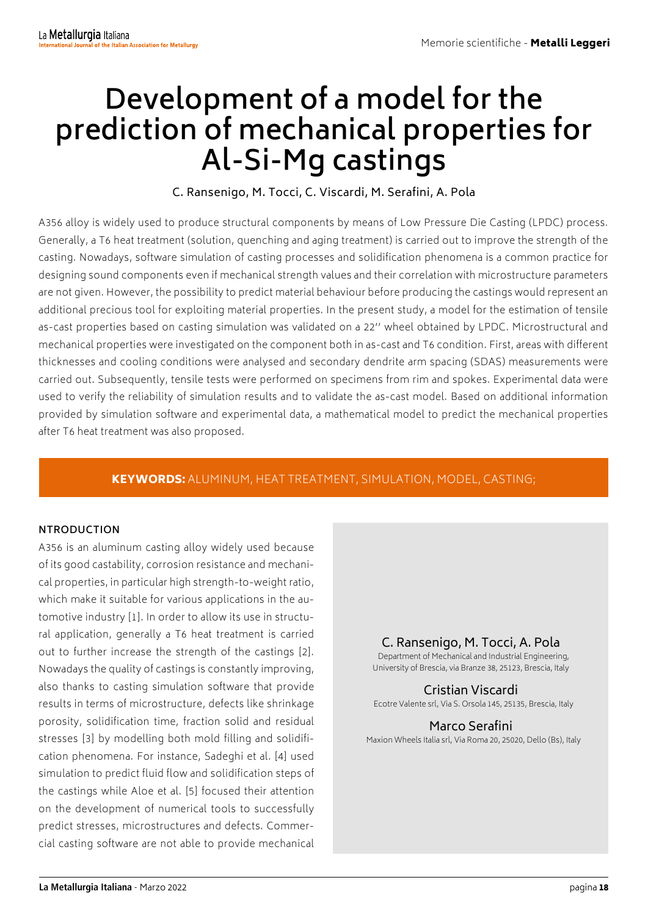# **Development of a model for the prediction of mechanical properties for Al-Si-Mg castings**

C. Ransenigo, M. Tocci, C. Viscardi, M. Serafini, A. Pola

A356 alloy is widely used to produce structural components by means of Low Pressure Die Casting (LPDC) process. Generally, a T6 heat treatment (solution, quenching and aging treatment) is carried out to improve the strength of the casting. Nowadays, software simulation of casting processes and solidification phenomena is a common practice for designing sound components even if mechanical strength values and their correlation with microstructure parameters are not given. However, the possibility to predict material behaviour before producing the castings would represent an additional precious tool for exploiting material properties. In the present study, a model for the estimation of tensile as-cast properties based on casting simulation was validated on a 22'' wheel obtained by LPDC. Microstructural and mechanical properties were investigated on the component both in as-cast and T6 condition. First, areas with different thicknesses and cooling conditions were analysed and secondary dendrite arm spacing (SDAS) measurements were carried out. Subsequently, tensile tests were performed on specimens from rim and spokes. Experimental data were used to verify the reliability of simulation results and to validate the as-cast model. Based on additional information provided by simulation software and experimental data, a mathematical model to predict the mechanical properties after T6 heat treatment was also proposed.

# KEYWORDS: ALUMINUM, HEAT TREATMENT, SIMULATION, MODEL, CASTING;

## **NTRODUCTION**

A356 is an aluminum casting alloy widely used because of its good castability, corrosion resistance and mechanical properties, in particular high strength-to-weight ratio, which make it suitable for various applications in the automotive industry [1]. In order to allow its use in structural application, generally a T6 heat treatment is carried out to further increase the strength of the castings [2]. Nowadays the quality of castings is constantly improving, also thanks to casting simulation software that provide results in terms of microstructure, defects like shrinkage porosity, solidification time, fraction solid and residual stresses [3] by modelling both mold filling and solidification phenomena. For instance, Sadeghi et al. [4] used simulation to predict fluid flow and solidification steps of the castings while Aloe et al. [5] focused their attention on the development of numerical tools to successfully predict stresses, microstructures and defects. Commercial casting software are not able to provide mechanical

# C. Ransenigo, M. Tocci, A. Pola

 Department of Mechanical and Industrial Engineering, University of Brescia, via Branze 38, 25123, Brescia, Italy

Cristian Viscardi Ecotre Valente srl, Via S. Orsola 145, 25135, Brescia, Italy

**Marco Serafini**<br>Maxion Wheels Italia srl, Via Roma 20, 25020, Dello (Bs), Italy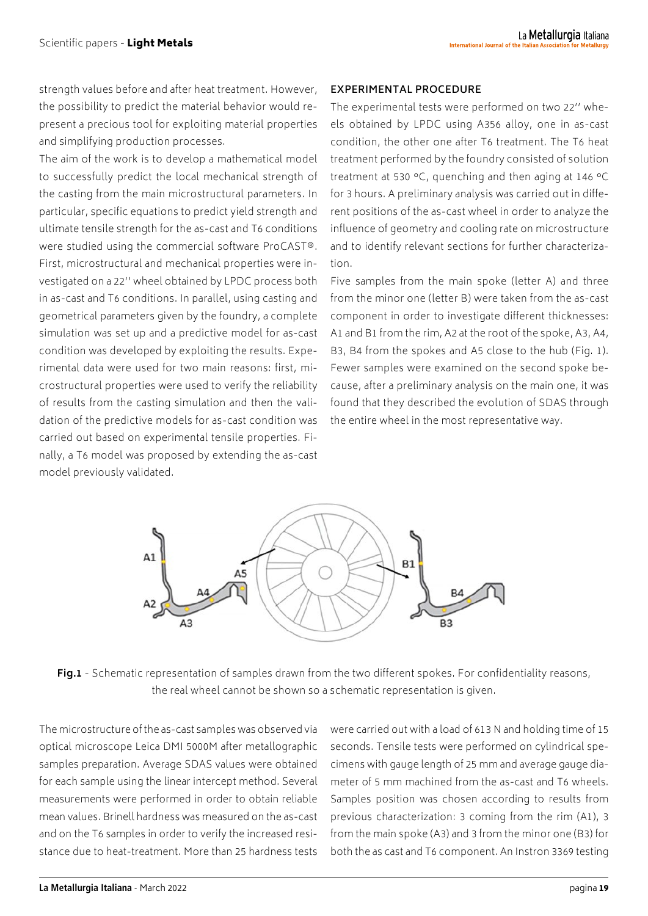strength values before and after heat treatment. However, the possibility to predict the material behavior would represent a precious tool for exploiting material properties and simplifying production processes.

The aim of the work is to develop a mathematical model to successfully predict the local mechanical strength of the casting from the main microstructural parameters. In particular, specific equations to predict yield strength and ultimate tensile strength for the as-cast and T6 conditions were studied using the commercial software ProCAST®. First, microstructural and mechanical properties were investigated on a 22'' wheel obtained by LPDC process both in as-cast and T6 conditions. In parallel, using casting and geometrical parameters given by the foundry, a complete simulation was set up and a predictive model for as-cast condition was developed by exploiting the results. Experimental data were used for two main reasons: first, microstructural properties were used to verify the reliability of results from the casting simulation and then the validation of the predictive models for as-cast condition was carried out based on experimental tensile properties. Finally, a T6 model was proposed by extending the as-cast model previously validated.

#### **EXPERIMENTAL PROCEDURE**

The experimental tests were performed on two 22'' wheels obtained by LPDC using A356 alloy, one in as-cast condition, the other one after T6 treatment. The T6 heat treatment performed by the foundry consisted of solution treatment at 530 °C, quenching and then aging at 146 °C for 3 hours. A preliminary analysis was carried out in different positions of the as-cast wheel in order to analyze the influence of geometry and cooling rate on microstructure and to identify relevant sections for further characterization.

Five samples from the main spoke (letter A) and three from the minor one (letter B) were taken from the as-cast component in order to investigate different thicknesses: A1 and B1 from the rim, A2 at the root of the spoke, A3, A4, B3, B4 from the spokes and A5 close to the hub (Fig. 1). Fewer samples were examined on the second spoke because, after a preliminary analysis on the main one, it was found that they described the evolution of SDAS through the entire wheel in the most representative way.



**Fig.1** - Schematic representation of samples drawn from the two different spokes. For confidentiality reasons, the real wheel cannot be shown so a schematic representation is given.

The microstructure of the as-cast samples was observed via optical microscope Leica DMI 5000M after metallographic samples preparation. Average SDAS values were obtained for each sample using the linear intercept method. Several measurements were performed in order to obtain reliable mean values. Brinell hardness was measured on the as-cast and on the T6 samples in order to verify the increased resistance due to heat-treatment. More than 25 hardness tests

were carried out with a load of 613 N and holding time of 15 seconds. Tensile tests were performed on cylindrical specimens with gauge length of 25 mm and average gauge diameter of 5 mm machined from the as-cast and T6 wheels. Samples position was chosen according to results from previous characterization: 3 coming from the rim (A1), 3 from the main spoke (A3) and 3 from the minor one (B3) for both the as cast and T6 component. An Instron 3369 testing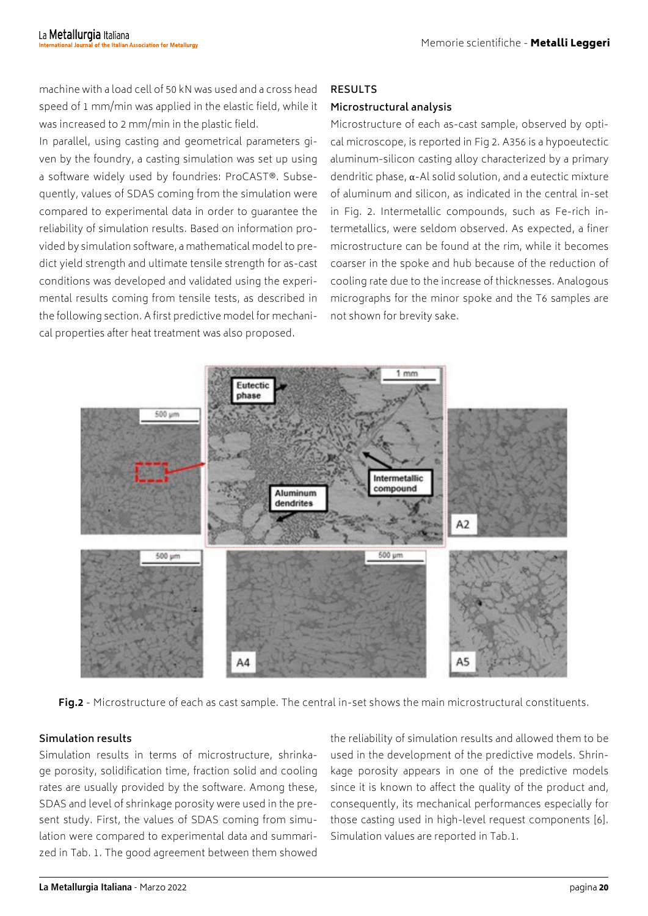machine with a load cell of 50 kN was used and a cross head speed of 1 mm/min was applied in the elastic field, while it was increased to 2 mm/min in the plastic field.

In parallel, using casting and geometrical parameters given by the foundry, a casting simulation was set up using a software widely used by foundries: ProCAST®. Subsequently, values of SDAS coming from the simulation were compared to experimental data in order to guarantee the reliability of simulation results. Based on information provided by simulation software, a mathematical model to predict yield strength and ultimate tensile strength for as-cast conditions was developed and validated using the experimental results coming from tensile tests, as described in the following section. A first predictive model for mechanical properties after heat treatment was also proposed.

#### **RESULTS**

# **Microstructural analysis**

Microstructure of each as-cast sample, observed by optical microscope, is reported in Fig 2. A356 is a hypoeutectic aluminum-silicon casting alloy characterized by a primary dendritic phase,  $\alpha$ -Al solid solution, and a eutectic mixture of aluminum and silicon, as indicated in the central in-set in Fig. 2. Intermetallic compounds, such as Fe-rich intermetallics, were seldom observed. As expected, a finer microstructure can be found at the rim, while it becomes coarser in the spoke and hub because of the reduction of cooling rate due to the increase of thicknesses. Analogous micrographs for the minor spoke and the T6 samples are not shown for brevity sake.



**Fig.2** - Microstructure of each as cast sample. The central in-set shows the main microstructural constituents.

## **Simulation results**

Simulation results in terms of microstructure, shrinkage porosity, solidification time, fraction solid and cooling rates are usually provided by the software. Among these, SDAS and level of shrinkage porosity were used in the present study. First, the values of SDAS coming from simulation were compared to experimental data and summarized in Tab. 1. The good agreement between them showed

the reliability of simulation results and allowed them to be used in the development of the predictive models. Shrinkage porosity appears in one of the predictive models since it is known to affect the quality of the product and, consequently, its mechanical performances especially for those casting used in high-level request components [6]. Simulation values are reported in Tab.1.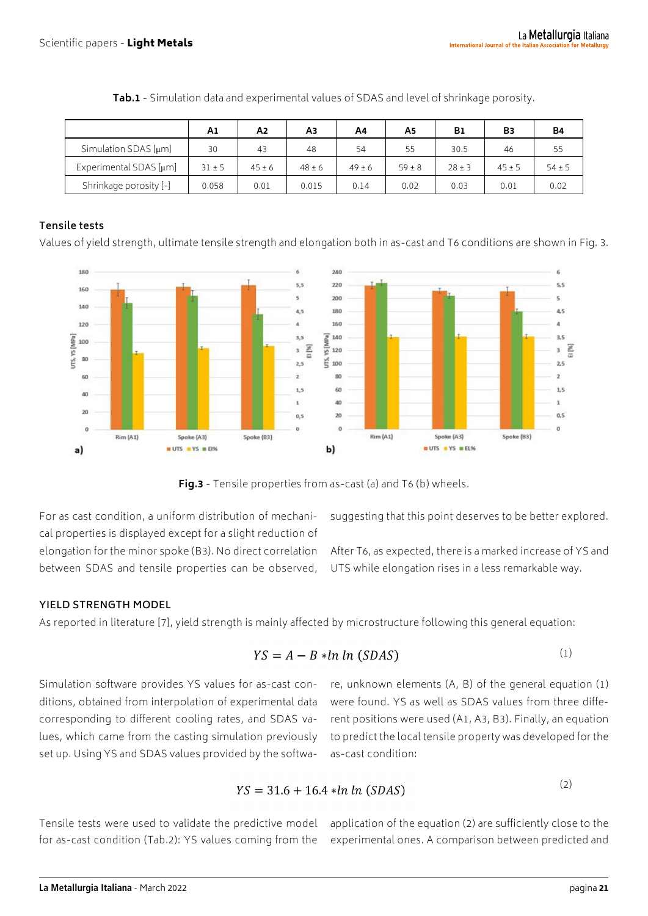|                             | A1       | A2         | Αз         | A4         | A5         | <b>B1</b> | B3       | <b>B4</b>  |
|-----------------------------|----------|------------|------------|------------|------------|-----------|----------|------------|
| Simulation SDAS $[µm]$      | 30       | 43         | 48         | 54         | 55         | 30.5      | 46       | 55         |
| Experimental SDAS $[\mu m]$ | $31 + 5$ | $45 \pm 6$ | $48 \pm 6$ | $49 \pm 6$ | $59 \pm 8$ | $28 + 3$  | $45 + 5$ | $54 \pm 5$ |
| Shrinkage porosity [-]      | 0.058    | 0.01       | 0.015      | 0.14       | 0.02       | 0.03      | 0.01     | 0.02       |

**Tab.1** - Simulation data and experimental values of SDAS and level of shrinkage porosity.

# **Tensile tests**

Values of yield strength, ultimate tensile strength and elongation both in as-cast and T6 conditions are shown in Fig. 3.



**Fig.3** - Tensile properties from as-cast (a) and T6 (b) wheels.

For as cast condition, a uniform distribution of mechanical properties is displayed except for a slight reduction of elongation for the minor spoke (B3). No direct correlation between SDAS and tensile properties can be observed, suggesting that this point deserves to be better explored.

After T6, as expected, there is a marked increase of YS and UTS while elongation rises in a less remarkable way.

## **YIELD STRENGTH MODEL**

As reported in literature [7], yield strength is mainly affected by microstructure following this general equation:

$$
YS = A - B * ln ln (SDAS)
$$
 (1)

Simulation software provides YS values for as-cast conditions, obtained from interpolation of experimental data corresponding to different cooling rates, and SDAS values, which came from the casting simulation previously set up. Using YS and SDAS values provided by the softwa-

re, unknown elements (A, B) of the general equation (1) were found. YS as well as SDAS values from three different positions were used (A1, A3, B3). Finally, an equation to predict the local tensile property was developed for the as-cast condition:

$$
YS = 31.6 + 16.4 * ln ln (SDAS)
$$
 (2)

Tensile tests were used to validate the predictive model for as-cast condition (Tab.2): YS values coming from the

application of the equation (2) are sufficiently close to the experimental ones. A comparison between predicted and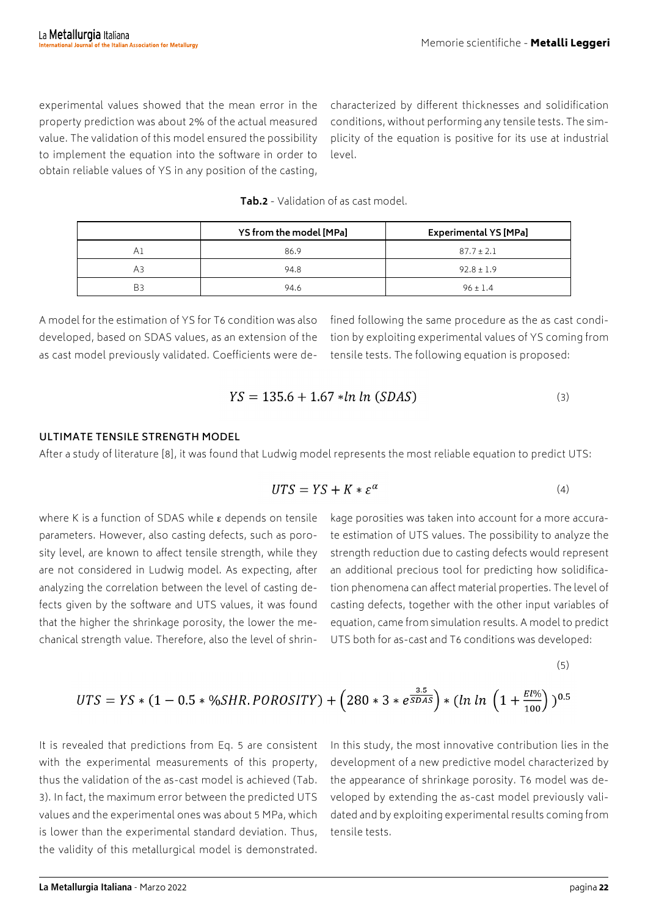experimental values showed that the mean error in the property prediction was about 2% of the actual measured value. The validation of this model ensured the possibility to implement the equation into the software in order to obtain reliable values of YS in any position of the casting,

characterized by different thicknesses and solidification conditions, without performing any tensile tests. The simplicity of the equation is positive for its use at industrial level.

**Tab.2** - Validation of as cast model.

|    | YS from the model [MPa] | <b>Experimental YS [MPa]</b> |  |  |
|----|-------------------------|------------------------------|--|--|
| ΑI | 86.9                    | $87.7 \pm 2.1$               |  |  |
| АЗ | 94.8                    | $92.8 \pm 1.9$               |  |  |
| B3 | 94.6                    | $96 \pm 1.4$                 |  |  |

A model for the estimation of YS for T6 condition was also developed, based on SDAS values, as an extension of the as cast model previously validated. Coefficients were defined following the same procedure as the as cast condition by exploiting experimental values of YS coming from tensile tests. The following equation is proposed:

$$
YS = 135.6 + 1.67 * ln ln (SDAS)
$$
 (3)

#### **ULTIMATE TENSILE STRENGTH MODEL**

After a study of literature [8], it was found that Ludwig model represents the most reliable equation to predict UTS:

$$
UTS = YS + K * \varepsilon^{\alpha} \tag{4}
$$

where K is a function of SDAS while  $\varepsilon$  depends on tensile parameters. However, also casting defects, such as porosity level, are known to affect tensile strength, while they are not considered in Ludwig model. As expecting, after analyzing the correlation between the level of casting defects given by the software and UTS values, it was found that the higher the shrinkage porosity, the lower the mechanical strength value. Therefore, also the level of shrinkage porosities was taken into account for a more accurate estimation of UTS values. The possibility to analyze the strength reduction due to casting defects would represent an additional precious tool for predicting how solidification phenomena can affect material properties. The level of casting defects, together with the other input variables of equation, came from simulation results. A model to predict UTS both for as-cast and T6 conditions was developed:

(5)

$$
UTS = YS * (1 - 0.5 * %SHR.POROSITY) + (280 * 3 * e^{\frac{3.5}{SDAS}}) * (ln ln (1 + \frac{El\%}{100}))^{0.5}
$$

It is revealed that predictions from Eq. 5 are consistent with the experimental measurements of this property, thus the validation of the as-cast model is achieved (Tab. 3). In fact, the maximum error between the predicted UTS values and the experimental ones was about 5 MPa, which is lower than the experimental standard deviation. Thus, the validity of this metallurgical model is demonstrated.

In this study, the most innovative contribution lies in the development of a new predictive model characterized by the appearance of shrinkage porosity. T6 model was developed by extending the as-cast model previously validated and by exploiting experimental results coming from tensile tests.